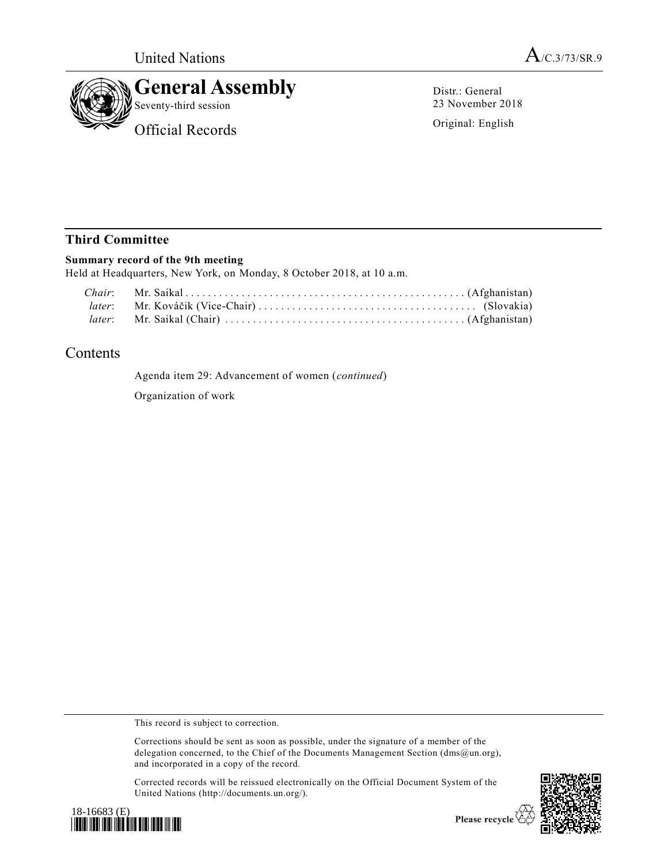



Distr.: General 23 November 2018

Original: English

# **Third Committee**

### **Summary record of the 9th meeting**

Held at Headquarters, New York, on Monday, 8 October 2018, at 10 a.m.

# Contents

Agenda item 29: Advancement of women (*continued*) Organization of work

This record is subject to correction.

Corrections should be sent as soon as possible, under the signature of a member of the delegation concerned, to the Chief of the Documents Management Section (dms@un.org), and incorporated in a copy of the record.

Corrected records will be reissued electronically on the Official Document System of the United Nations (http://documents.un.org/).





Please recycle  $\overleftrightarrow{C}$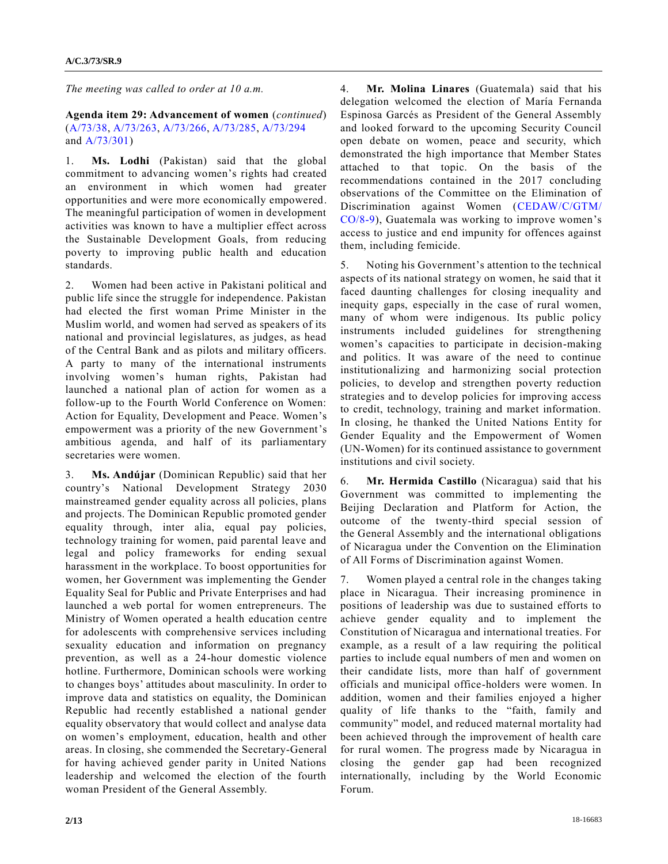*The meeting was called to order at 10 a.m.*

**Agenda item 29: Advancement of women** (*continued*) [\(A/73/38,](https://undocs.org/A/73/38) [A/73/263,](https://undocs.org/A/73/263) [A/73/266,](https://undocs.org/A/73/266) [A/73/285,](https://undocs.org/A/73/285) [A/73/294](https://undocs.org/A/73/294) and [A/73/301\)](https://undocs.org/A/73/301)

1. **Ms. Lodhi** (Pakistan) said that the global commitment to advancing women's rights had created an environment in which women had greater opportunities and were more economically empowered. The meaningful participation of women in development activities was known to have a multiplier effect across the Sustainable Development Goals, from reducing poverty to improving public health and education standards.

2. Women had been active in Pakistani political and public life since the struggle for independence. Pakistan had elected the first woman Prime Minister in the Muslim world, and women had served as speakers of its national and provincial legislatures, as judges, as head of the Central Bank and as pilots and military officers. A party to many of the international instruments involving women's human rights, Pakistan had launched a national plan of action for women as a follow-up to the Fourth World Conference on Women: Action for Equality, Development and Peace. Women's empowerment was a priority of the new Government's ambitious agenda, and half of its parliamentary secretaries were women.

3. **Ms. Andújar** (Dominican Republic) said that her country's National Development Strategy 2030 mainstreamed gender equality across all policies, plans and projects. The Dominican Republic promoted gender equality through, inter alia, equal pay policies, technology training for women, paid parental leave and legal and policy frameworks for ending sexual harassment in the workplace. To boost opportunities for women, her Government was implementing the Gender Equality Seal for Public and Private Enterprises and had launched a web portal for women entrepreneurs. The Ministry of Women operated a health education centre for adolescents with comprehensive services including sexuality education and information on pregnancy prevention, as well as a 24-hour domestic violence hotline. Furthermore, Dominican schools were working to changes boys' attitudes about masculinity. In order to improve data and statistics on equality, the Dominican Republic had recently established a national gender equality observatory that would collect and analyse data on women's employment, education, health and other areas. In closing, she commended the Secretary-General for having achieved gender parity in United Nations leadership and welcomed the election of the fourth woman President of the General Assembly.

4. **Mr. Molina Linares** (Guatemala) said that his delegation welcomed the election of María Fernanda Espinosa Garcés as President of the General Assembly and looked forward to the upcoming Security Council open debate on women, peace and security, which demonstrated the high importance that Member States attached to that topic. On the basis of the recommendations contained in the 2017 concluding observations of the Committee on the Elimination of Discrimination against Women [\(CEDAW/C/GTM/](https://undocs.org/CEDAW/C/GTM/CO/8) [CO/8-9\)](https://undocs.org/CEDAW/C/GTM/CO/8), Guatemala was working to improve women's access to justice and end impunity for offences against them, including femicide.

5. Noting his Government's attention to the technical aspects of its national strategy on women, he said that it faced daunting challenges for closing inequality and inequity gaps, especially in the case of rural women, many of whom were indigenous. Its public policy instruments included guidelines for strengthening women's capacities to participate in decision-making and politics. It was aware of the need to continue institutionalizing and harmonizing social protection policies, to develop and strengthen poverty reduction strategies and to develop policies for improving access to credit, technology, training and market information. In closing, he thanked the United Nations Entity for Gender Equality and the Empowerment of Women (UN-Women) for its continued assistance to government institutions and civil society.

6. **Mr. Hermida Castillo** (Nicaragua) said that his Government was committed to implementing the Beijing Declaration and Platform for Action, the outcome of the twenty-third special session of the General Assembly and the international obligations of Nicaragua under the Convention on the Elimination of All Forms of Discrimination against Women.

7. Women played a central role in the changes taking place in Nicaragua. Their increasing prominence in positions of leadership was due to sustained efforts to achieve gender equality and to implement the Constitution of Nicaragua and international treaties. For example, as a result of a law requiring the political parties to include equal numbers of men and women on their candidate lists, more than half of government officials and municipal office-holders were women. In addition, women and their families enjoyed a higher quality of life thanks to the "faith, family and community" model, and reduced maternal mortality had been achieved through the improvement of health care for rural women. The progress made by Nicaragua in closing the gender gap had been recognized internationally, including by the World Economic Forum.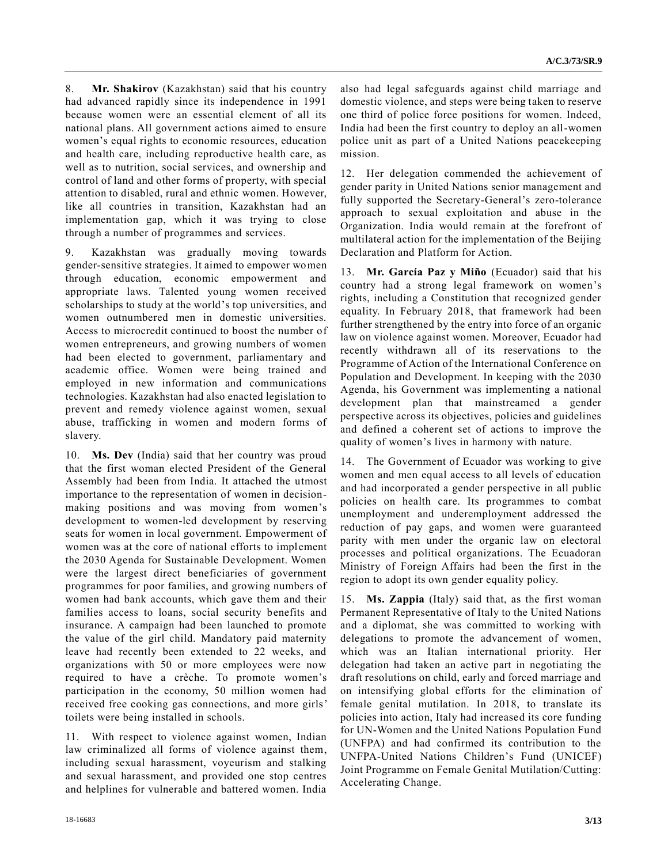8. **Mr. Shakirov** (Kazakhstan) said that his country had advanced rapidly since its independence in 1991 because women were an essential element of all its national plans. All government actions aimed to ensure women's equal rights to economic resources, education and health care, including reproductive health care, as well as to nutrition, social services, and ownership and control of land and other forms of property, with special attention to disabled, rural and ethnic women. However, like all countries in transition, Kazakhstan had an implementation gap, which it was trying to close through a number of programmes and services.

9. Kazakhstan was gradually moving towards gender-sensitive strategies. It aimed to empower women through education, economic empowerment and appropriate laws. Talented young women received scholarships to study at the world's top universities, and women outnumbered men in domestic universities. Access to microcredit continued to boost the number of women entrepreneurs, and growing numbers of women had been elected to government, parliamentary and academic office. Women were being trained and employed in new information and communications technologies. Kazakhstan had also enacted legislation to prevent and remedy violence against women, sexual abuse, trafficking in women and modern forms of slavery.

10. **Ms. Dev** (India) said that her country was proud that the first woman elected President of the General Assembly had been from India. It attached the utmost importance to the representation of women in decisionmaking positions and was moving from women's development to women-led development by reserving seats for women in local government. Empowerment of women was at the core of national efforts to implement the 2030 Agenda for Sustainable Development. Women were the largest direct beneficiaries of government programmes for poor families, and growing numbers of women had bank accounts, which gave them and their families access to loans, social security benefits and insurance. A campaign had been launched to promote the value of the girl child. Mandatory paid maternity leave had recently been extended to 22 weeks, and organizations with 50 or more employees were now required to have a crèche. To promote women's participation in the economy, 50 million women had received free cooking gas connections, and more girls' toilets were being installed in schools.

11. With respect to violence against women, Indian law criminalized all forms of violence against them, including sexual harassment, voyeurism and stalking and sexual harassment, and provided one stop centres and helplines for vulnerable and battered women. India

also had legal safeguards against child marriage and domestic violence, and steps were being taken to reserve one third of police force positions for women. Indeed, India had been the first country to deploy an all-women police unit as part of a United Nations peacekeeping mission.

12. Her delegation commended the achievement of gender parity in United Nations senior management and fully supported the Secretary-General's zero-tolerance approach to sexual exploitation and abuse in the Organization. India would remain at the forefront of multilateral action for the implementation of the Beijing Declaration and Platform for Action.

13. **Mr. García Paz y Miño** (Ecuador) said that his country had a strong legal framework on women's rights, including a Constitution that recognized gender equality. In February 2018, that framework had been further strengthened by the entry into force of an organic law on violence against women. Moreover, Ecuador had recently withdrawn all of its reservations to the Programme of Action of the International Conference on Population and Development. In keeping with the 2030 Agenda, his Government was implementing a national development plan that mainstreamed a gender perspective across its objectives, policies and guidelines and defined a coherent set of actions to improve the quality of women's lives in harmony with nature.

14. The Government of Ecuador was working to give women and men equal access to all levels of education and had incorporated a gender perspective in all public policies on health care. Its programmes to combat unemployment and underemployment addressed the reduction of pay gaps, and women were guaranteed parity with men under the organic law on electoral processes and political organizations. The Ecuadoran Ministry of Foreign Affairs had been the first in the region to adopt its own gender equality policy.

15. **Ms. Zappia** (Italy) said that, as the first woman Permanent Representative of Italy to the United Nations and a diplomat, she was committed to working with delegations to promote the advancement of women, which was an Italian international priority. Her delegation had taken an active part in negotiating the draft resolutions on child, early and forced marriage and on intensifying global efforts for the elimination of female genital mutilation. In 2018, to translate its policies into action, Italy had increased its core funding for UN-Women and the United Nations Population Fund (UNFPA) and had confirmed its contribution to the UNFPA-United Nations Children's Fund (UNICEF) Joint Programme on Female Genital Mutilation/Cutting: Accelerating Change.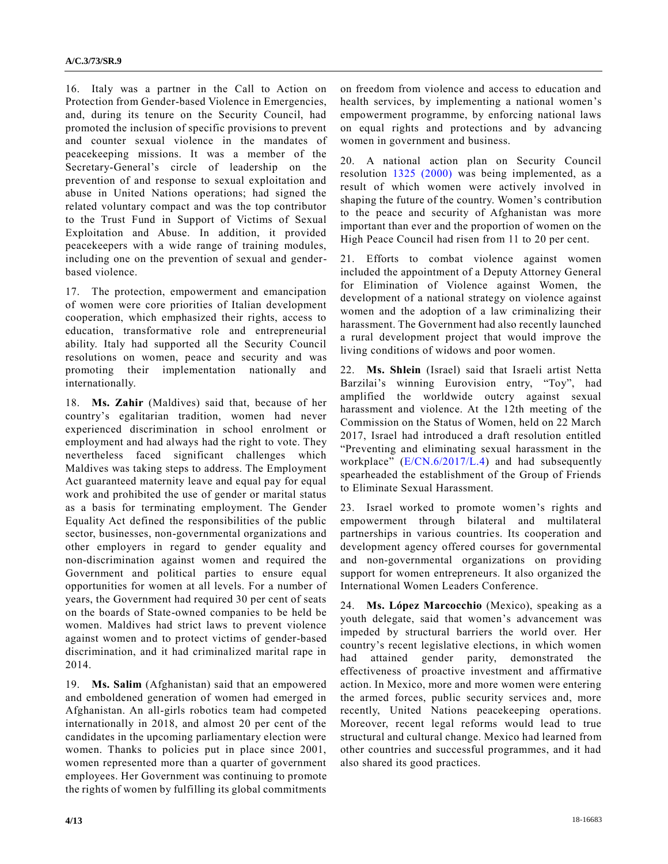16. Italy was a partner in the Call to Action on Protection from Gender-based Violence in Emergencies, and, during its tenure on the Security Council, had promoted the inclusion of specific provisions to prevent and counter sexual violence in the mandates of peacekeeping missions. It was a member of the Secretary-General's circle of leadership on the prevention of and response to sexual exploitation and abuse in United Nations operations; had signed the related voluntary compact and was the top contributor to the Trust Fund in Support of Victims of Sexual Exploitation and Abuse. In addition, it provided peacekeepers with a wide range of training modules, including one on the prevention of sexual and genderbased violence.

17. The protection, empowerment and emancipation of women were core priorities of Italian development cooperation, which emphasized their rights, access to education, transformative role and entrepreneurial ability. Italy had supported all the Security Council resolutions on women, peace and security and was promoting their implementation nationally and internationally.

18. **Ms. Zahir** (Maldives) said that, because of her country's egalitarian tradition, women had never experienced discrimination in school enrolment or employment and had always had the right to vote. They nevertheless faced significant challenges which Maldives was taking steps to address. The Employment Act guaranteed maternity leave and equal pay for equal work and prohibited the use of gender or marital status as a basis for terminating employment. The Gender Equality Act defined the responsibilities of the public sector, businesses, non-governmental organizations and other employers in regard to gender equality and non-discrimination against women and required the Government and political parties to ensure equal opportunities for women at all levels. For a number of years, the Government had required 30 per cent of seats on the boards of State-owned companies to be held be women. Maldives had strict laws to prevent violence against women and to protect victims of gender-based discrimination, and it had criminalized marital rape in 2014.

19. **Ms. Salim** (Afghanistan) said that an empowered and emboldened generation of women had emerged in Afghanistan. An all-girls robotics team had competed internationally in 2018, and almost 20 per cent of the candidates in the upcoming parliamentary election were women. Thanks to policies put in place since 2001, women represented more than a quarter of government employees. Her Government was continuing to promote the rights of women by fulfilling its global commitments

on freedom from violence and access to education and health services, by implementing a national women's empowerment programme, by enforcing national laws on equal rights and protections and by advancing women in government and business.

20. A national action plan on Security Council resolution [1325 \(2000\)](https://undocs.org/S/RES/1325(2000)) was being implemented, as a result of which women were actively involved in shaping the future of the country. Women's contribution to the peace and security of Afghanistan was more important than ever and the proportion of women on the High Peace Council had risen from 11 to 20 per cent.

21. Efforts to combat violence against women included the appointment of a Deputy Attorney General for Elimination of Violence against Women, the development of a national strategy on violence against women and the adoption of a law criminalizing their harassment. The Government had also recently launched a rural development project that would improve the living conditions of widows and poor women.

22. **Ms. Shlein** (Israel) said that Israeli artist Netta Barzilai's winning Eurovision entry, "Toy", had amplified the worldwide outcry against sexual harassment and violence. At the 12th meeting of the Commission on the Status of Women, held on 22 March 2017, Israel had introduced a draft resolution entitled "Preventing and eliminating sexual harassment in the workplace" [\(E/CN.6/2017/L.4\)](https://undocs.org/E/CN.6/2017/L.4) and had subsequently spearheaded the establishment of the Group of Friends to Eliminate Sexual Harassment.

23. Israel worked to promote women's rights and empowerment through bilateral and multilateral partnerships in various countries. Its cooperation and development agency offered courses for governmental and non-governmental organizations on providing support for women entrepreneurs. It also organized the International Women Leaders Conference.

24. **Ms. López Marcocchio** (Mexico), speaking as a youth delegate, said that women's advancement was impeded by structural barriers the world over. Her country's recent legislative elections, in which women had attained gender parity, demonstrated the effectiveness of proactive investment and affirmative action. In Mexico, more and more women were entering the armed forces, public security services and, more recently, United Nations peacekeeping operations. Moreover, recent legal reforms would lead to true structural and cultural change. Mexico had learned from other countries and successful programmes, and it had also shared its good practices.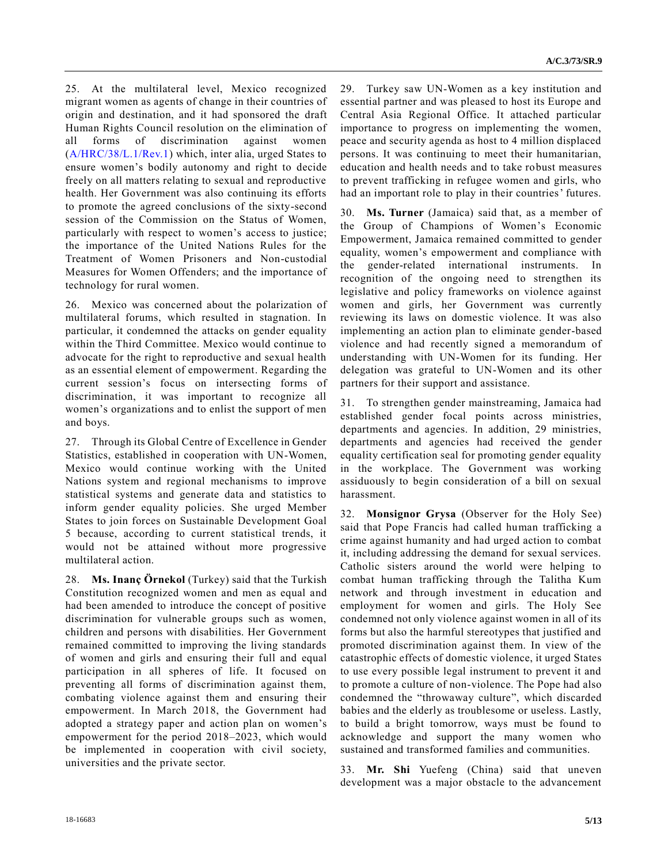25. At the multilateral level, Mexico recognized migrant women as agents of change in their countries of origin and destination, and it had sponsored the draft Human Rights Council resolution on the elimination of all forms of discrimination against women [\(A/HRC/38/L.1/Rev.1\)](https://undocs.org/A/HRC/38/L.1/Rev.1) which, inter alia, urged States to ensure women's bodily autonomy and right to decide freely on all matters relating to sexual and reproductive health. Her Government was also continuing its efforts to promote the agreed conclusions of the sixty-second session of the Commission on the Status of Women, particularly with respect to women's access to justice; the importance of the United Nations Rules for the Treatment of Women Prisoners and Non-custodial Measures for Women Offenders; and the importance of technology for rural women.

26. Mexico was concerned about the polarization of multilateral forums, which resulted in stagnation. In particular, it condemned the attacks on gender equality within the Third Committee. Mexico would continue to advocate for the right to reproductive and sexual health as an essential element of empowerment. Regarding the current session's focus on intersecting forms of discrimination, it was important to recognize all women's organizations and to enlist the support of men and boys.

27. Through its Global Centre of Excellence in Gender Statistics, established in cooperation with UN-Women, Mexico would continue working with the United Nations system and regional mechanisms to improve statistical systems and generate data and statistics to inform gender equality policies. She urged Member States to join forces on Sustainable Development Goal 5 because, according to current statistical trends, it would not be attained without more progressive multilateral action.

28. **Ms. Inanç Örnekol** (Turkey) said that the Turkish Constitution recognized women and men as equal and had been amended to introduce the concept of positive discrimination for vulnerable groups such as women, children and persons with disabilities. Her Government remained committed to improving the living standards of women and girls and ensuring their full and equal participation in all spheres of life. It focused on preventing all forms of discrimination against them, combating violence against them and ensuring their empowerment. In March 2018, the Government had adopted a strategy paper and action plan on women's empowerment for the period 2018–2023, which would be implemented in cooperation with civil society, universities and the private sector.

29. Turkey saw UN-Women as a key institution and essential partner and was pleased to host its Europe and Central Asia Regional Office. It attached particular importance to progress on implementing the women, peace and security agenda as host to 4 million displaced persons. It was continuing to meet their humanitarian, education and health needs and to take robust measures to prevent trafficking in refugee women and girls, who had an important role to play in their countries' futures.

30. **Ms. Turner** (Jamaica) said that, as a member of the Group of Champions of Women's Economic Empowerment, Jamaica remained committed to gender equality, women's empowerment and compliance with the gender-related international instruments. In recognition of the ongoing need to strengthen its legislative and policy frameworks on violence against women and girls, her Government was currently reviewing its laws on domestic violence. It was also implementing an action plan to eliminate gender-based violence and had recently signed a memorandum of understanding with UN-Women for its funding. Her delegation was grateful to UN-Women and its other partners for their support and assistance.

31. To strengthen gender mainstreaming, Jamaica had established gender focal points across ministries, departments and agencies. In addition, 29 ministries, departments and agencies had received the gender equality certification seal for promoting gender equality in the workplace. The Government was working assiduously to begin consideration of a bill on sexual harassment.

32. **Monsignor Grysa** (Observer for the Holy See) said that Pope Francis had called human trafficking a crime against humanity and had urged action to combat it, including addressing the demand for sexual services. Catholic sisters around the world were helping to combat human trafficking through the Talitha Kum network and through investment in education and employment for women and girls. The Holy See condemned not only violence against women in all of its forms but also the harmful stereotypes that justified and promoted discrimination against them. In view of the catastrophic effects of domestic violence, it urged States to use every possible legal instrument to prevent it and to promote a culture of non-violence. The Pope had also condemned the "throwaway culture", which discarded babies and the elderly as troublesome or useless. Lastly, to build a bright tomorrow, ways must be found to acknowledge and support the many women who sustained and transformed families and communities.

33. **Mr. Shi** Yuefeng (China) said that uneven development was a major obstacle to the advancement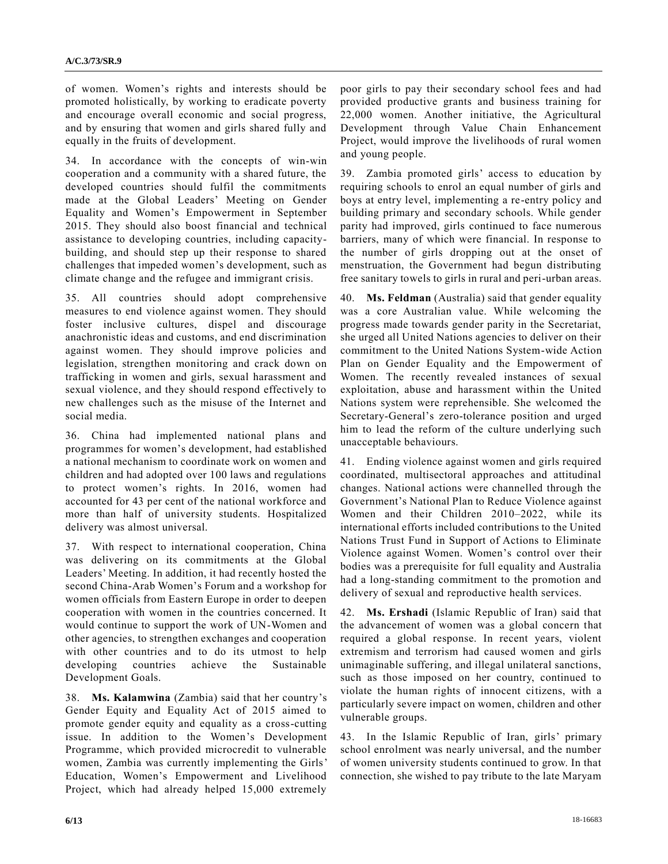of women. Women's rights and interests should be promoted holistically, by working to eradicate poverty and encourage overall economic and social progress, and by ensuring that women and girls shared fully and equally in the fruits of development.

34. In accordance with the concepts of win-win cooperation and a community with a shared future, the developed countries should fulfil the commitments made at the Global Leaders' Meeting on Gender Equality and Women's Empowerment in September 2015. They should also boost financial and technical assistance to developing countries, including capacitybuilding, and should step up their response to shared challenges that impeded women's development, such as climate change and the refugee and immigrant crisis.

35. All countries should adopt comprehensive measures to end violence against women. They should foster inclusive cultures, dispel and discourage anachronistic ideas and customs, and end discrimination against women. They should improve policies and legislation, strengthen monitoring and crack down on trafficking in women and girls, sexual harassment and sexual violence, and they should respond effectively to new challenges such as the misuse of the Internet and social media.

36. China had implemented national plans and programmes for women's development, had established a national mechanism to coordinate work on women and children and had adopted over 100 laws and regulations to protect women's rights. In 2016, women had accounted for 43 per cent of the national workforce and more than half of university students. Hospitalized delivery was almost universal.

37. With respect to international cooperation, China was delivering on its commitments at the Global Leaders' Meeting. In addition, it had recently hosted the second China-Arab Women's Forum and a workshop for women officials from Eastern Europe in order to deepen cooperation with women in the countries concerned. It would continue to support the work of UN-Women and other agencies, to strengthen exchanges and cooperation with other countries and to do its utmost to help developing countries achieve the Sustainable Development Goals.

38. **Ms. Kalamwina** (Zambia) said that her country's Gender Equity and Equality Act of 2015 aimed to promote gender equity and equality as a cross-cutting issue. In addition to the Women's Development Programme, which provided microcredit to vulnerable women, Zambia was currently implementing the Girls' Education, Women's Empowerment and Livelihood Project, which had already helped 15,000 extremely poor girls to pay their secondary school fees and had provided productive grants and business training for 22,000 women. Another initiative, the Agricultural Development through Value Chain Enhancement Project, would improve the livelihoods of rural women and young people.

39. Zambia promoted girls' access to education by requiring schools to enrol an equal number of girls and boys at entry level, implementing a re-entry policy and building primary and secondary schools. While gender parity had improved, girls continued to face numerous barriers, many of which were financial. In response to the number of girls dropping out at the onset of menstruation, the Government had begun distributing free sanitary towels to girls in rural and peri-urban areas.

40. **Ms. Feldman** (Australia) said that gender equality was a core Australian value. While welcoming the progress made towards gender parity in the Secretariat, she urged all United Nations agencies to deliver on their commitment to the United Nations System-wide Action Plan on Gender Equality and the Empowerment of Women. The recently revealed instances of sexual exploitation, abuse and harassment within the United Nations system were reprehensible. She welcomed the Secretary-General's zero-tolerance position and urged him to lead the reform of the culture underlying such unacceptable behaviours.

41. Ending violence against women and girls required coordinated, multisectoral approaches and attitudinal changes. National actions were channelled through the Government's National Plan to Reduce Violence against Women and their Children 2010–2022, while its international efforts included contributions to the United Nations Trust Fund in Support of Actions to Eliminate Violence against Women. Women's control over their bodies was a prerequisite for full equality and Australia had a long-standing commitment to the promotion and delivery of sexual and reproductive health services.

42. **Ms. Ershadi** (Islamic Republic of Iran) said that the advancement of women was a global concern that required a global response. In recent years, violent extremism and terrorism had caused women and girls unimaginable suffering, and illegal unilateral sanctions, such as those imposed on her country, continued to violate the human rights of innocent citizens, with a particularly severe impact on women, children and other vulnerable groups.

43. In the Islamic Republic of Iran, girls' primary school enrolment was nearly universal, and the number of women university students continued to grow. In that connection, she wished to pay tribute to the late Maryam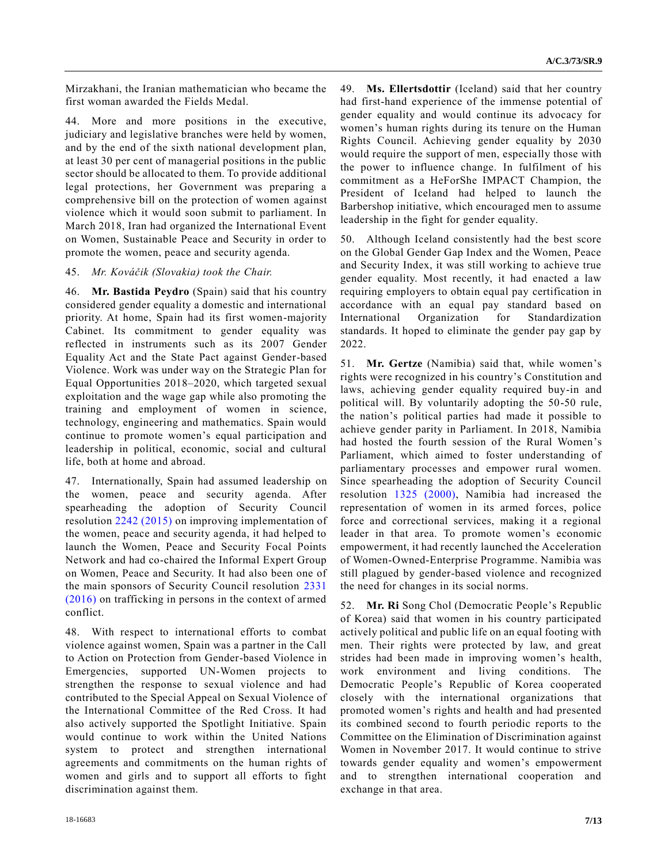Mirzakhani, the Iranian mathematician who became the first woman awarded the Fields Medal.

44. More and more positions in the executive, judiciary and legislative branches were held by women, and by the end of the sixth national development plan, at least 30 per cent of managerial positions in the public sector should be allocated to them. To provide additional legal protections, her Government was preparing a comprehensive bill on the protection of women against violence which it would soon submit to parliament. In March 2018, Iran had organized the International Event on Women, Sustainable Peace and Security in order to promote the women, peace and security agenda.

#### 45. *Mr. Kováčik (Slovakia) took the Chair.*

46. **Mr. Bastida Peydro** (Spain) said that his country considered gender equality a domestic and international priority. At home, Spain had its first women-majority Cabinet. Its commitment to gender equality was reflected in instruments such as its 2007 Gender Equality Act and the State Pact against Gender-based Violence. Work was under way on the Strategic Plan for Equal Opportunities 2018–2020, which targeted sexual exploitation and the wage gap while also promoting the training and employment of women in science, technology, engineering and mathematics. Spain would continue to promote women's equal participation and leadership in political, economic, social and cultural life, both at home and abroad.

47. Internationally, Spain had assumed leadership on the women, peace and security agenda. After spearheading the adoption of Security Council resolution [2242 \(2015\)](https://undocs.org/S/RES/2242(2015)) on improving implementation of the women, peace and security agenda, it had helped to launch the Women, Peace and Security Focal Points Network and had co-chaired the Informal Expert Group on Women, Peace and Security. It had also been one of the main sponsors of Security Council resolution [2331](https://undocs.org/S/RES/2331(2016))  [\(2016\)](https://undocs.org/S/RES/2331(2016)) on trafficking in persons in the context of armed conflict.

48. With respect to international efforts to combat violence against women, Spain was a partner in the Call to Action on Protection from Gender-based Violence in Emergencies, supported UN-Women projects to strengthen the response to sexual violence and had contributed to the Special Appeal on Sexual Violence of the International Committee of the Red Cross. It had also actively supported the Spotlight Initiative. Spain would continue to work within the United Nations system to protect and strengthen international agreements and commitments on the human rights of women and girls and to support all efforts to fight discrimination against them.

49. **Ms. Ellertsdottir** (Iceland) said that her country had first-hand experience of the immense potential of gender equality and would continue its advocacy for women's human rights during its tenure on the Human Rights Council. Achieving gender equality by 2030 would require the support of men, especially those with the power to influence change. In fulfilment of his commitment as a HeForShe IMPACT Champion, the President of Iceland had helped to launch the Barbershop initiative, which encouraged men to assume leadership in the fight for gender equality.

50. Although Iceland consistently had the best score on the Global Gender Gap Index and the Women, Peace and Security Index, it was still working to achieve true gender equality. Most recently, it had enacted a law requiring employers to obtain equal pay certification in accordance with an equal pay standard based on International Organization for Standardization standards. It hoped to eliminate the gender pay gap by 2022.

51. **Mr. Gertze** (Namibia) said that, while women's rights were recognized in his country's Constitution and laws, achieving gender equality required buy-in and political will. By voluntarily adopting the 50-50 rule, the nation's political parties had made it possible to achieve gender parity in Parliament. In 2018, Namibia had hosted the fourth session of the Rural Women's Parliament, which aimed to foster understanding of parliamentary processes and empower rural women. Since spearheading the adoption of Security Council resolution [1325 \(2000\),](https://undocs.org/S/RES/1325(2000)) Namibia had increased the representation of women in its armed forces, police force and correctional services, making it a regional leader in that area. To promote women's economic empowerment, it had recently launched the Acceleration of Women-Owned-Enterprise Programme. Namibia was still plagued by gender-based violence and recognized the need for changes in its social norms.

52. **Mr. Ri** Song Chol (Democratic People's Republic of Korea) said that women in his country participated actively political and public life on an equal footing with men. Their rights were protected by law, and great strides had been made in improving women's health, work environment and living conditions. The Democratic People's Republic of Korea cooperated closely with the international organizations that promoted women's rights and health and had presented its combined second to fourth periodic reports to the Committee on the Elimination of Discrimination against Women in November 2017. It would continue to strive towards gender equality and women's empowerment and to strengthen international cooperation and exchange in that area.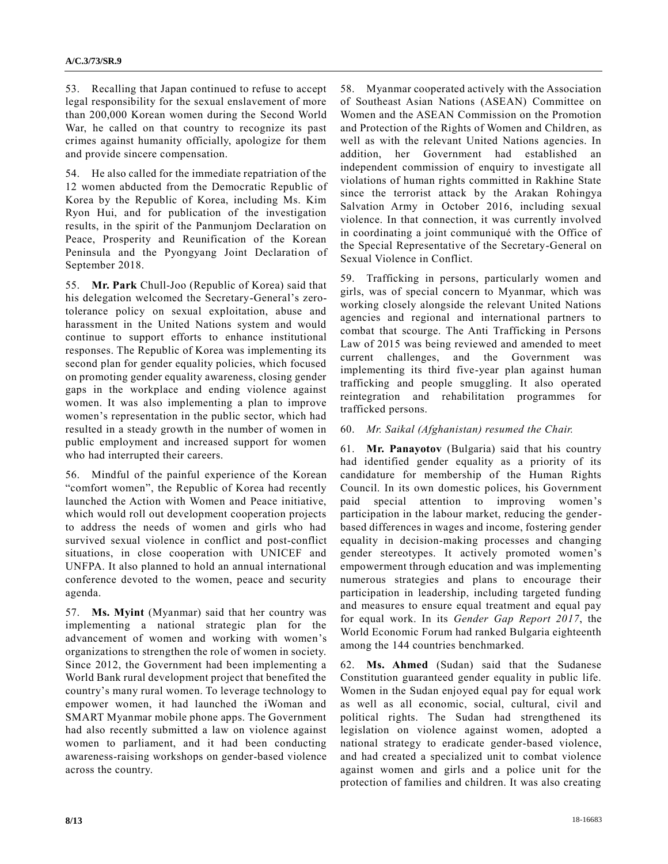53. Recalling that Japan continued to refuse to accept legal responsibility for the sexual enslavement of more than 200,000 Korean women during the Second World War, he called on that country to recognize its past crimes against humanity officially, apologize for them and provide sincere compensation.

54. He also called for the immediate repatriation of the 12 women abducted from the Democratic Republic of Korea by the Republic of Korea, including Ms. Kim Ryon Hui, and for publication of the investigation results, in the spirit of the Panmunjom Declaration on Peace, Prosperity and Reunification of the Korean Peninsula and the Pyongyang Joint Declaration of September 2018.

55. **Mr. Park** Chull-Joo (Republic of Korea) said that his delegation welcomed the Secretary-General's zerotolerance policy on sexual exploitation, abuse and harassment in the United Nations system and would continue to support efforts to enhance institutional responses. The Republic of Korea was implementing its second plan for gender equality policies, which focused on promoting gender equality awareness, closing gender gaps in the workplace and ending violence against women. It was also implementing a plan to improve women's representation in the public sector, which had resulted in a steady growth in the number of women in public employment and increased support for women who had interrupted their careers.

56. Mindful of the painful experience of the Korean "comfort women", the Republic of Korea had recently launched the Action with Women and Peace initiative, which would roll out development cooperation projects to address the needs of women and girls who had survived sexual violence in conflict and post-conflict situations, in close cooperation with UNICEF and UNFPA. It also planned to hold an annual international conference devoted to the women, peace and security agenda.

57. **Ms. Myint** (Myanmar) said that her country was implementing a national strategic plan for the advancement of women and working with women's organizations to strengthen the role of women in society. Since 2012, the Government had been implementing a World Bank rural development project that benefited the country's many rural women. To leverage technology to empower women, it had launched the iWoman and SMART Myanmar mobile phone apps. The Government had also recently submitted a law on violence against women to parliament, and it had been conducting awareness-raising workshops on gender-based violence across the country.

58. Myanmar cooperated actively with the Association of Southeast Asian Nations (ASEAN) Committee on Women and the ASEAN Commission on the Promotion and Protection of the Rights of Women and Children, as well as with the relevant United Nations agencies. In addition, her Government had established an independent commission of enquiry to investigate all violations of human rights committed in Rakhine State since the terrorist attack by the Arakan Rohingya Salvation Army in October 2016, including sexual violence. In that connection, it was currently involved in coordinating a joint communiqué with the Office of the Special Representative of the Secretary-General on Sexual Violence in Conflict.

59. Trafficking in persons, particularly women and girls, was of special concern to Myanmar, which was working closely alongside the relevant United Nations agencies and regional and international partners to combat that scourge. The Anti Trafficking in Persons Law of 2015 was being reviewed and amended to meet current challenges, and the Government was implementing its third five-year plan against human trafficking and people smuggling. It also operated reintegration and rehabilitation programmes for trafficked persons.

#### 60. *Mr. Saikal (Afghanistan) resumed the Chair.*

61. **Mr. Panayotov** (Bulgaria) said that his country had identified gender equality as a priority of its candidature for membership of the Human Rights Council. In its own domestic polices, his Government paid special attention to improving women's participation in the labour market, reducing the genderbased differences in wages and income, fostering gender equality in decision-making processes and changing gender stereotypes. It actively promoted women's empowerment through education and was implementing numerous strategies and plans to encourage their participation in leadership, including targeted funding and measures to ensure equal treatment and equal pay for equal work. In its *Gender Gap Report 2017*, the World Economic Forum had ranked Bulgaria eighteenth among the 144 countries benchmarked.

62. **Ms. Ahmed** (Sudan) said that the Sudanese Constitution guaranteed gender equality in public life. Women in the Sudan enjoyed equal pay for equal work as well as all economic, social, cultural, civil and political rights. The Sudan had strengthened its legislation on violence against women, adopted a national strategy to eradicate gender-based violence, and had created a specialized unit to combat violence against women and girls and a police unit for the protection of families and children. It was also creating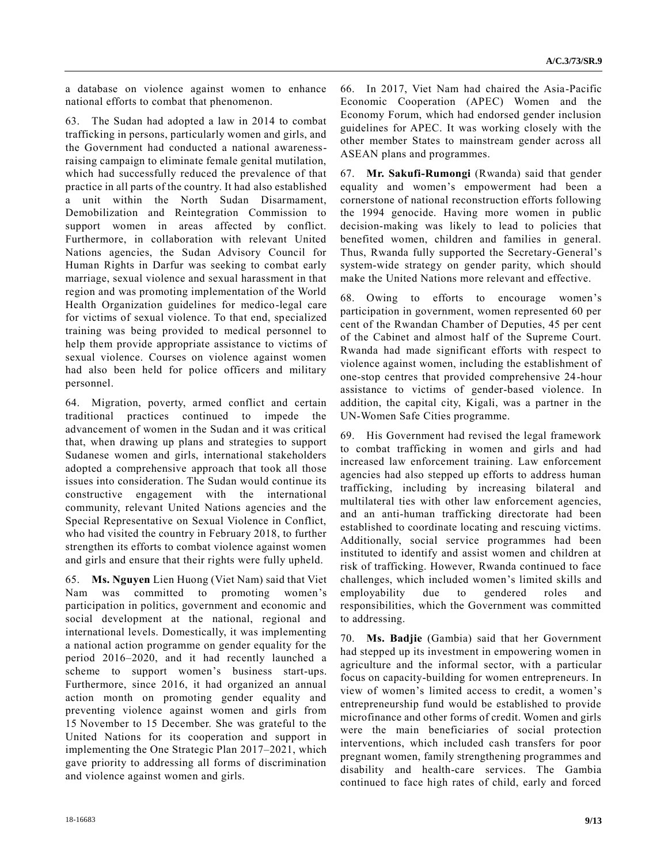a database on violence against women to enhance national efforts to combat that phenomenon.

63. The Sudan had adopted a law in 2014 to combat trafficking in persons, particularly women and girls, and the Government had conducted a national awarenessraising campaign to eliminate female genital mutilation, which had successfully reduced the prevalence of that practice in all parts of the country. It had also established a unit within the North Sudan Disarmament, Demobilization and Reintegration Commission to support women in areas affected by conflict. Furthermore, in collaboration with relevant United Nations agencies, the Sudan Advisory Council for Human Rights in Darfur was seeking to combat early marriage, sexual violence and sexual harassment in that region and was promoting implementation of the World Health Organization guidelines for medico-legal care for victims of sexual violence. To that end, specialized training was being provided to medical personnel to help them provide appropriate assistance to victims of sexual violence. Courses on violence against women had also been held for police officers and military personnel.

64. Migration, poverty, armed conflict and certain traditional practices continued to impede the advancement of women in the Sudan and it was critical that, when drawing up plans and strategies to support Sudanese women and girls, international stakeholders adopted a comprehensive approach that took all those issues into consideration. The Sudan would continue its constructive engagement with the international community, relevant United Nations agencies and the Special Representative on Sexual Violence in Conflict, who had visited the country in February 2018, to further strengthen its efforts to combat violence against women and girls and ensure that their rights were fully upheld.

65. **Ms. Nguyen** Lien Huong (Viet Nam) said that Viet Nam was committed to promoting women's participation in politics, government and economic and social development at the national, regional and international levels. Domestically, it was implementing a national action programme on gender equality for the period 2016–2020, and it had recently launched a scheme to support women's business start-ups. Furthermore, since 2016, it had organized an annual action month on promoting gender equality and preventing violence against women and girls from 15 November to 15 December. She was grateful to the United Nations for its cooperation and support in implementing the One Strategic Plan 2017–2021, which gave priority to addressing all forms of discrimination and violence against women and girls.

66. In 2017, Viet Nam had chaired the Asia-Pacific Economic Cooperation (APEC) Women and the Economy Forum, which had endorsed gender inclusion guidelines for APEC. It was working closely with the other member States to mainstream gender across all ASEAN plans and programmes.

67. **Mr. Sakufi-Rumongi** (Rwanda) said that gender equality and women's empowerment had been a cornerstone of national reconstruction efforts following the 1994 genocide. Having more women in public decision-making was likely to lead to policies that benefited women, children and families in general. Thus, Rwanda fully supported the Secretary-General's system-wide strategy on gender parity, which should make the United Nations more relevant and effective.

68. Owing to efforts to encourage women's participation in government, women represented 60 per cent of the Rwandan Chamber of Deputies, 45 per cent of the Cabinet and almost half of the Supreme Court. Rwanda had made significant efforts with respect to violence against women, including the establishment of one-stop centres that provided comprehensive 24-hour assistance to victims of gender-based violence. In addition, the capital city, Kigali, was a partner in the UN-Women Safe Cities programme.

69. His Government had revised the legal framework to combat trafficking in women and girls and had increased law enforcement training. Law enforcement agencies had also stepped up efforts to address human trafficking, including by increasing bilateral and multilateral ties with other law enforcement agencies, and an anti-human trafficking directorate had been established to coordinate locating and rescuing victims. Additionally, social service programmes had been instituted to identify and assist women and children at risk of trafficking. However, Rwanda continued to face challenges, which included women's limited skills and employability due to gendered roles and responsibilities, which the Government was committed to addressing.

70. **Ms. Badjie** (Gambia) said that her Government had stepped up its investment in empowering women in agriculture and the informal sector, with a particular focus on capacity-building for women entrepreneurs. In view of women's limited access to credit, a women's entrepreneurship fund would be established to provide microfinance and other forms of credit. Women and girls were the main beneficiaries of social protection interventions, which included cash transfers for poor pregnant women, family strengthening programmes and disability and health-care services. The Gambia continued to face high rates of child, early and forced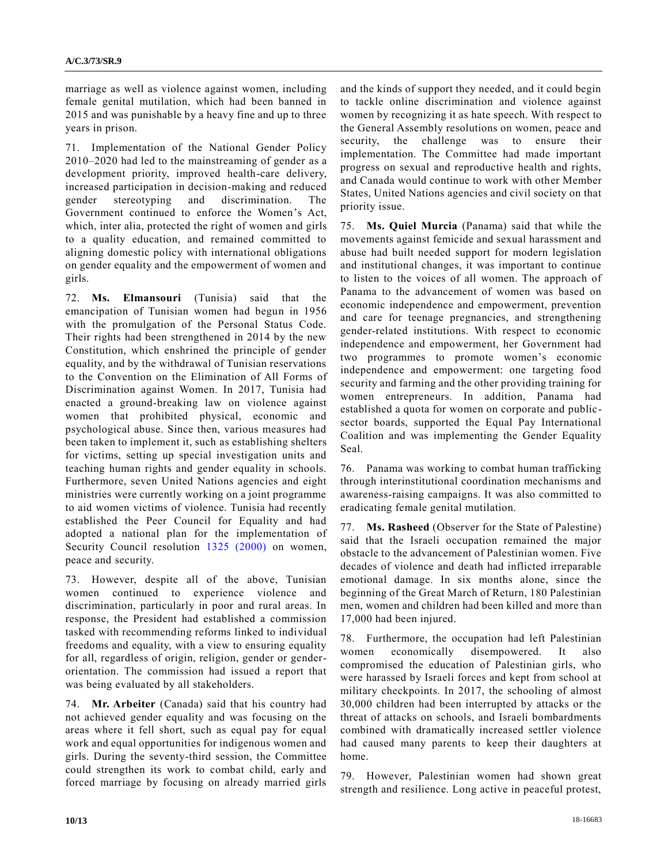marriage as well as violence against women, including female genital mutilation, which had been banned in 2015 and was punishable by a heavy fine and up to three years in prison.

71. Implementation of the National Gender Policy 2010–2020 had led to the mainstreaming of gender as a development priority, improved health-care delivery, increased participation in decision-making and reduced gender stereotyping and discrimination. The Government continued to enforce the Women's Act, which, inter alia, protected the right of women and girls to a quality education, and remained committed to aligning domestic policy with international obligations on gender equality and the empowerment of women and girls.

72. **Ms. Elmansouri** (Tunisia) said that the emancipation of Tunisian women had begun in 1956 with the promulgation of the Personal Status Code. Their rights had been strengthened in 2014 by the new Constitution, which enshrined the principle of gender equality, and by the withdrawal of Tunisian reservations to the Convention on the Elimination of All Forms of Discrimination against Women. In 2017, Tunisia had enacted a ground-breaking law on violence against women that prohibited physical, economic and psychological abuse. Since then, various measures had been taken to implement it, such as establishing shelters for victims, setting up special investigation units and teaching human rights and gender equality in schools. Furthermore, seven United Nations agencies and eight ministries were currently working on a joint programme to aid women victims of violence. Tunisia had recently established the Peer Council for Equality and had adopted a national plan for the implementation of Security Council resolution [1325 \(2000\)](https://undocs.org/S/RES/1325(2000)) on women, peace and security.

73. However, despite all of the above, Tunisian women continued to experience violence and discrimination, particularly in poor and rural areas. In response, the President had established a commission tasked with recommending reforms linked to individual freedoms and equality, with a view to ensuring equality for all, regardless of origin, religion, gender or genderorientation. The commission had issued a report that was being evaluated by all stakeholders.

74. **Mr. Arbeiter** (Canada) said that his country had not achieved gender equality and was focusing on the areas where it fell short, such as equal pay for equal work and equal opportunities for indigenous women and girls. During the seventy-third session, the Committee could strengthen its work to combat child, early and forced marriage by focusing on already married girls and the kinds of support they needed, and it could begin to tackle online discrimination and violence against women by recognizing it as hate speech. With respect to the General Assembly resolutions on women, peace and security, the challenge was to ensure their implementation. The Committee had made important progress on sexual and reproductive health and rights, and Canada would continue to work with other Member States, United Nations agencies and civil society on that priority issue.

75. **Ms. Quiel Murcia** (Panama) said that while the movements against femicide and sexual harassment and abuse had built needed support for modern legislation and institutional changes, it was important to continue to listen to the voices of all women. The approach of Panama to the advancement of women was based on economic independence and empowerment, prevention and care for teenage pregnancies, and strengthening gender-related institutions. With respect to economic independence and empowerment, her Government had two programmes to promote women's economic independence and empowerment: one targeting food security and farming and the other providing training for women entrepreneurs. In addition, Panama had established a quota for women on corporate and publicsector boards, supported the Equal Pay International Coalition and was implementing the Gender Equality Seal.

76. Panama was working to combat human trafficking through interinstitutional coordination mechanisms and awareness-raising campaigns. It was also committed to eradicating female genital mutilation.

77. **Ms. Rasheed** (Observer for the State of Palestine) said that the Israeli occupation remained the major obstacle to the advancement of Palestinian women. Five decades of violence and death had inflicted irreparable emotional damage. In six months alone, since the beginning of the Great March of Return, 180 Palestinian men, women and children had been killed and more than 17,000 had been injured.

78. Furthermore, the occupation had left Palestinian women economically disempowered. It also compromised the education of Palestinian girls, who were harassed by Israeli forces and kept from school at military checkpoints. In 2017, the schooling of almost 30,000 children had been interrupted by attacks or the threat of attacks on schools, and Israeli bombardments combined with dramatically increased settler violence had caused many parents to keep their daughters at home.

79. However, Palestinian women had shown great strength and resilience. Long active in peaceful protest,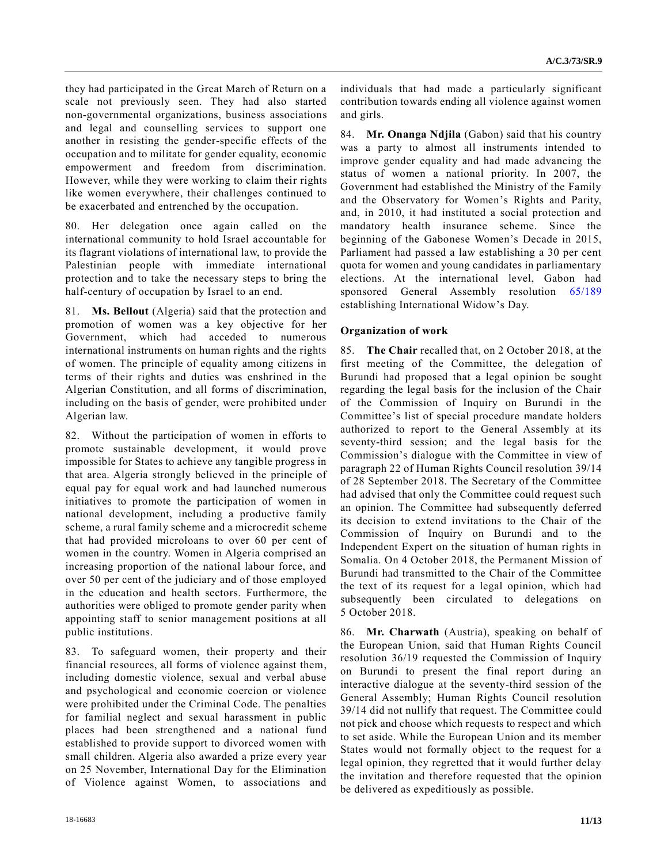they had participated in the Great March of Return on a scale not previously seen. They had also started non-governmental organizations, business associations and legal and counselling services to support one another in resisting the gender-specific effects of the occupation and to militate for gender equality, economic empowerment and freedom from discrimination. However, while they were working to claim their rights like women everywhere, their challenges continued to be exacerbated and entrenched by the occupation.

80. Her delegation once again called on the international community to hold Israel accountable for its flagrant violations of international law, to provide the Palestinian people with immediate international protection and to take the necessary steps to bring the half-century of occupation by Israel to an end.

81. **Ms. Bellout** (Algeria) said that the protection and promotion of women was a key objective for her Government, which had acceded to numerous international instruments on human rights and the rights of women. The principle of equality among citizens in terms of their rights and duties was enshrined in the Algerian Constitution, and all forms of discrimination, including on the basis of gender, were prohibited under Algerian law.

82. Without the participation of women in efforts to promote sustainable development, it would prove impossible for States to achieve any tangible progress in that area. Algeria strongly believed in the principle of equal pay for equal work and had launched numerous initiatives to promote the participation of women in national development, including a productive family scheme, a rural family scheme and a microcredit scheme that had provided microloans to over 60 per cent of women in the country. Women in Algeria comprised an increasing proportion of the national labour force, and over 50 per cent of the judiciary and of those employed in the education and health sectors. Furthermore, the authorities were obliged to promote gender parity when appointing staff to senior management positions at all public institutions.

83. To safeguard women, their property and their financial resources, all forms of violence against them, including domestic violence, sexual and verbal abuse and psychological and economic coercion or violence were prohibited under the Criminal Code. The penalties for familial neglect and sexual harassment in public places had been strengthened and a national fund established to provide support to divorced women with small children. Algeria also awarded a prize every year on 25 November, International Day for the Elimination of Violence against Women, to associations and

individuals that had made a particularly significant contribution towards ending all violence against women and girls.

84. **Mr. Onanga Ndjila** (Gabon) said that his country was a party to almost all instruments intended to improve gender equality and had made advancing the status of women a national priority. In 2007, the Government had established the Ministry of the Family and the Observatory for Women's Rights and Parity, and, in 2010, it had instituted a social protection and mandatory health insurance scheme. Since the beginning of the Gabonese Women's Decade in 2015, Parliament had passed a law establishing a 30 per cent quota for women and young candidates in parliamentary elections. At the international level, Gabon had sponsored General Assembly resolution [65/189](https://undocs.org/A/RES/65/189) establishing International Widow's Day.

### **Organization of work**

85. **The Chair** recalled that, on 2 October 2018, at the first meeting of the Committee, the delegation of Burundi had proposed that a legal opinion be sought regarding the legal basis for the inclusion of the Chair of the Commission of Inquiry on Burundi in the Committee's list of special procedure mandate holders authorized to report to the General Assembly at its seventy-third session; and the legal basis for the Commission's dialogue with the Committee in view of paragraph 22 of Human Rights Council resolution 39/14 of 28 September 2018. The Secretary of the Committee had advised that only the Committee could request such an opinion. The Committee had subsequently deferred its decision to extend invitations to the Chair of the Commission of Inquiry on Burundi and to the Independent Expert on the situation of human rights in Somalia. On 4 October 2018, the Permanent Mission of Burundi had transmitted to the Chair of the Committee the text of its request for a legal opinion, which had subsequently been circulated to delegations on 5 October 2018.

86. **Mr. Charwath** (Austria), speaking on behalf of the European Union, said that Human Rights Council resolution 36/19 requested the Commission of Inquiry on Burundi to present the final report during an interactive dialogue at the seventy-third session of the General Assembly; Human Rights Council resolution 39/14 did not nullify that request. The Committee could not pick and choose which requests to respect and which to set aside. While the European Union and its member States would not formally object to the request for a legal opinion, they regretted that it would further delay the invitation and therefore requested that the opinion be delivered as expeditiously as possible.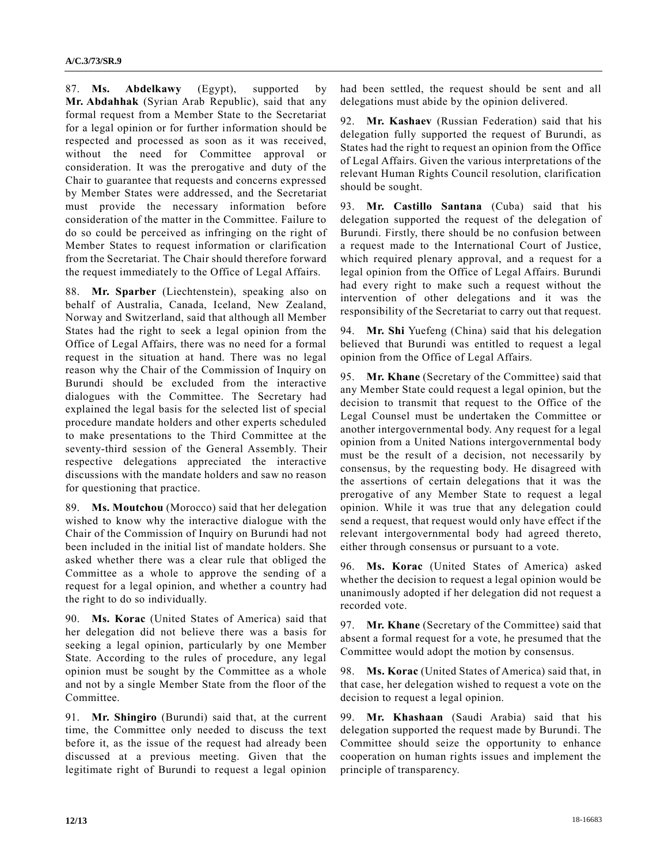87. **Ms. Abdelkawy** (Egypt), supported by **Mr. Abdahhak** (Syrian Arab Republic), said that any formal request from a Member State to the Secretariat for a legal opinion or for further information should be respected and processed as soon as it was received, without the need for Committee approval or consideration. It was the prerogative and duty of the Chair to guarantee that requests and concerns expressed by Member States were addressed, and the Secretariat must provide the necessary information before consideration of the matter in the Committee. Failure to do so could be perceived as infringing on the right of Member States to request information or clarification from the Secretariat. The Chair should therefore forward the request immediately to the Office of Legal Affairs.

88. **Mr. Sparber** (Liechtenstein), speaking also on behalf of Australia, Canada, Iceland, New Zealand, Norway and Switzerland, said that although all Member States had the right to seek a legal opinion from the Office of Legal Affairs, there was no need for a formal request in the situation at hand. There was no legal reason why the Chair of the Commission of Inquiry on Burundi should be excluded from the interactive dialogues with the Committee. The Secretary had explained the legal basis for the selected list of special procedure mandate holders and other experts scheduled to make presentations to the Third Committee at the seventy-third session of the General Assembly. Their respective delegations appreciated the interactive discussions with the mandate holders and saw no reason for questioning that practice.

89. **Ms. Moutchou** (Morocco) said that her delegation wished to know why the interactive dialogue with the Chair of the Commission of Inquiry on Burundi had not been included in the initial list of mandate holders. She asked whether there was a clear rule that obliged the Committee as a whole to approve the sending of a request for a legal opinion, and whether a country had the right to do so individually.

90. **Ms. Korac** (United States of America) said that her delegation did not believe there was a basis for seeking a legal opinion, particularly by one Member State. According to the rules of procedure, any legal opinion must be sought by the Committee as a whole and not by a single Member State from the floor of the Committee.

91. **Mr. Shingiro** (Burundi) said that, at the current time, the Committee only needed to discuss the text before it, as the issue of the request had already been discussed at a previous meeting. Given that the legitimate right of Burundi to request a legal opinion had been settled, the request should be sent and all delegations must abide by the opinion delivered.

92. **Mr. Kashaev** (Russian Federation) said that his delegation fully supported the request of Burundi, as States had the right to request an opinion from the Office of Legal Affairs. Given the various interpretations of the relevant Human Rights Council resolution, clarification should be sought.

93. **Mr. Castillo Santana** (Cuba) said that his delegation supported the request of the delegation of Burundi. Firstly, there should be no confusion between a request made to the International Court of Justice, which required plenary approval, and a request for a legal opinion from the Office of Legal Affairs. Burundi had every right to make such a request without the intervention of other delegations and it was the responsibility of the Secretariat to carry out that request.

94. **Mr. Shi** Yuefeng (China) said that his delegation believed that Burundi was entitled to request a legal opinion from the Office of Legal Affairs.

95. **Mr. Khane** (Secretary of the Committee) said that any Member State could request a legal opinion, but the decision to transmit that request to the Office of the Legal Counsel must be undertaken the Committee or another intergovernmental body. Any request for a legal opinion from a United Nations intergovernmental body must be the result of a decision, not necessarily by consensus, by the requesting body. He disagreed with the assertions of certain delegations that it was the prerogative of any Member State to request a legal opinion. While it was true that any delegation could send a request, that request would only have effect if the relevant intergovernmental body had agreed thereto, either through consensus or pursuant to a vote.

96. **Ms. Korac** (United States of America) asked whether the decision to request a legal opinion would be unanimously adopted if her delegation did not request a recorded vote.

97. **Mr. Khane** (Secretary of the Committee) said that absent a formal request for a vote, he presumed that the Committee would adopt the motion by consensus.

98. **Ms. Korac** (United States of America) said that, in that case, her delegation wished to request a vote on the decision to request a legal opinion.

99. **Mr. Khashaan** (Saudi Arabia) said that his delegation supported the request made by Burundi. The Committee should seize the opportunity to enhance cooperation on human rights issues and implement the principle of transparency.